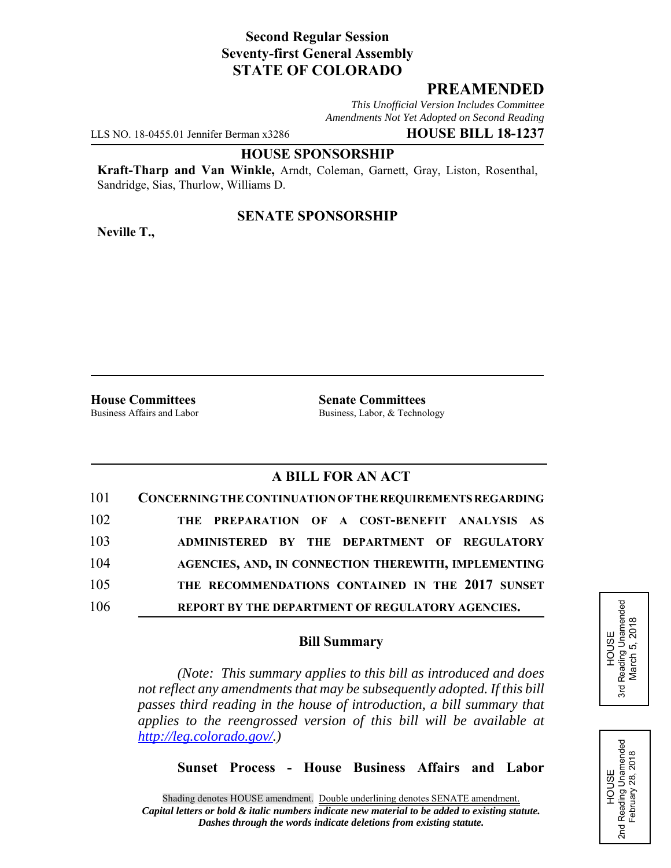# **Second Regular Session Seventy-first General Assembly STATE OF COLORADO**

# **PREAMENDED**

*This Unofficial Version Includes Committee Amendments Not Yet Adopted on Second Reading*

LLS NO. 18-0455.01 Jennifer Berman x3286 **HOUSE BILL 18-1237**

#### **HOUSE SPONSORSHIP**

**Kraft-Tharp and Van Winkle,** Arndt, Coleman, Garnett, Gray, Liston, Rosenthal, Sandridge, Sias, Thurlow, Williams D.

## **SENATE SPONSORSHIP**

**Neville T.,**

**House Committees**<br>Business Affairs and Labor<br>Business. Labor. & Techno

Business, Labor, & Technology

# **A BILL FOR AN ACT**

| 101 | CONCERNING THE CONTINUATION OF THE REQUIREMENTS REGARDING |
|-----|-----------------------------------------------------------|
| 102 | THE PREPARATION OF A COST-BENEFIT ANALYSIS AS             |
| 103 | ADMINISTERED BY THE DEPARTMENT OF REGULATORY              |
| 104 | AGENCIES, AND, IN CONNECTION THEREWITH, IMPLEMENTING      |
| 105 | THE RECOMMENDATIONS CONTAINED IN THE 2017 SUNSET          |
| 106 | REPORT BY THE DEPARTMENT OF REGULATORY AGENCIES.          |

### **Bill Summary**

*(Note: This summary applies to this bill as introduced and does not reflect any amendments that may be subsequently adopted. If this bill passes third reading in the house of introduction, a bill summary that applies to the reengrossed version of this bill will be available at http://leg.colorado.gov/.)*

**Sunset Process - House Business Affairs and Labor**



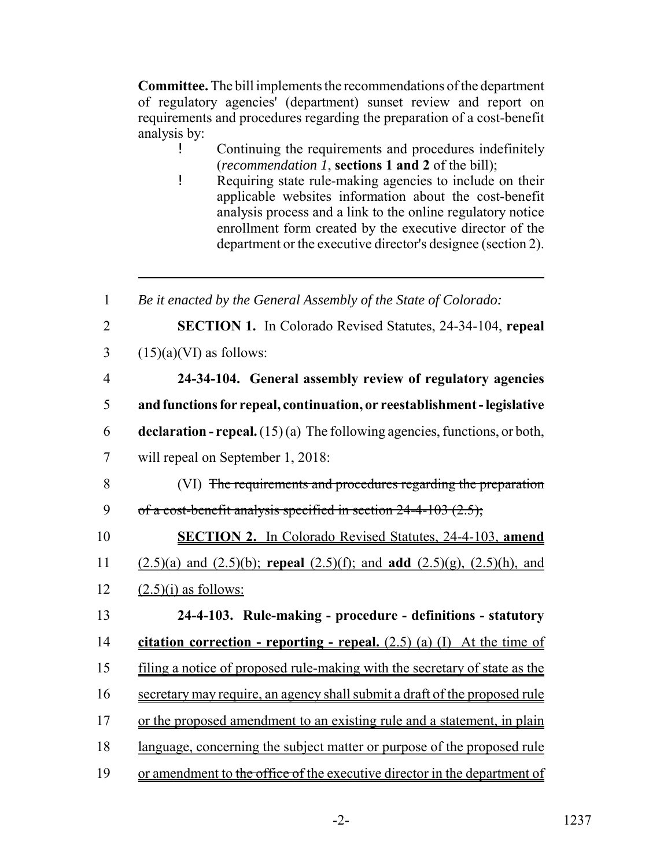**Committee.** The bill implements the recommendations of the department of regulatory agencies' (department) sunset review and report on requirements and procedures regarding the preparation of a cost-benefit analysis by:

! Continuing the requirements and procedures indefinitely (*recommendation 1*, **sections 1 and 2** of the bill);

! Requiring state rule-making agencies to include on their applicable websites information about the cost-benefit analysis process and a link to the online regulatory notice enrollment form created by the executive director of the department or the executive director's designee (section 2).

| $\mathbf{1}$   | Be it enacted by the General Assembly of the State of Colorado:                       |
|----------------|---------------------------------------------------------------------------------------|
| $\overline{2}$ | <b>SECTION 1.</b> In Colorado Revised Statutes, 24-34-104, repeal                     |
| 3              | $(15)(a)(VI)$ as follows:                                                             |
| $\overline{4}$ | 24-34-104. General assembly review of regulatory agencies                             |
| 5              | and functions for repeal, continuation, or reestablishment - legislative              |
| 6              | <b>declaration - repeal.</b> $(15)(a)$ The following agencies, functions, or both,    |
| $\overline{7}$ | will repeal on September 1, 2018:                                                     |
| 8              | (VI) The requirements and procedures regarding the preparation                        |
| 9              | of a cost-benefit analysis specified in section $24-4-103$ (2.5);                     |
| 10             | <b>SECTION 2.</b> In Colorado Revised Statutes, 24-4-103, amend                       |
| 11             | $(2.5)(a)$ and $(2.5)(b)$ ; repeal $(2.5)(f)$ ; and add $(2.5)(g)$ , $(2.5)(h)$ , and |
| 12             | $(2.5)(i)$ as follows:                                                                |
| 13             | 24-4-103. Rule-making - procedure - definitions - statutory                           |
| 14             | citation correction - reporting - repeal. $(2.5)$ (a) (I) At the time of              |
| 15             | filing a notice of proposed rule-making with the secretary of state as the            |
| 16             | secretary may require, an agency shall submit a draft of the proposed rule            |
| 17             | or the proposed amendment to an existing rule and a statement, in plain               |
| 18             | language, concerning the subject matter or purpose of the proposed rule               |
| 19             | or amendment to the office of the executive director in the department of             |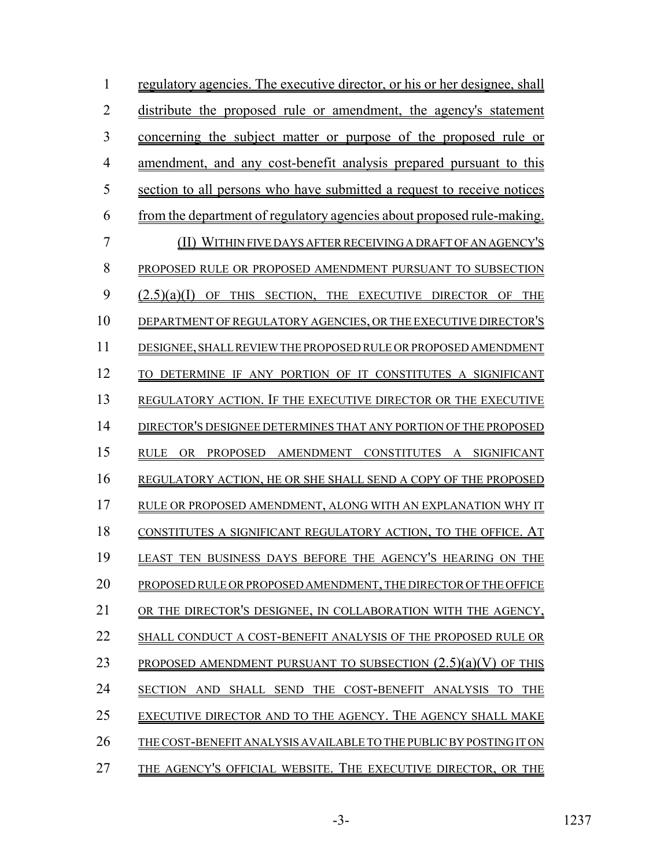| 1  | regulatory agencies. The executive director, or his or her designee, shall        |
|----|-----------------------------------------------------------------------------------|
| 2  | distribute the proposed rule or amendment, the agency's statement                 |
| 3  | <u>concerning the subject matter or purpose of the proposed rule</u><br><b>or</b> |
| 4  | <u>amendment, and any cost-benefit analysis prepared pursuant to this</u>         |
| 5  | <u>section to all persons who have submitted a request to receive notices</u>     |
| 6  | <u>from the department of regulatory agencies about proposed rule-making.</u>     |
| 7  | (II) WITHIN FIVE DAYS AFTER RECEIVING A DRAFT OF AN AGENCY'S                      |
| 8  | PROPOSED RULE OR PROPOSED AMENDMENT PURSUANT TO SUBSECTION                        |
| 9  | (2.5)(a)(I)<br>OF<br>THIS SECTION, THE EXECUTIVE DIRECTOR OF<br><b>THE</b>        |
| 10 | DEPARTMENT OF REGULATORY AGENCIES, OR THE EXECUTIVE DIRECTOR'S                    |
| 11 | DESIGNEE, SHALL REVIEW THE PROPOSED RULE OR PROPOSED AMENDMENT                    |
| 12 | DETERMINE IF ANY PORTION OF IT CONSTITUTES A SIGNIFICANT                          |
| 13 | REGULATORY ACTION. IF THE EXECUTIVE DIRECTOR OR THE EXECUTIVE                     |
| 14 | DIRECTOR'S DESIGNEE DETERMINES THAT ANY PORTION OF THE PROPOSED                   |
| 15 | <b>PROPOSED</b><br>AMENDMENT CONSTITUTES A SIGNIFICANT<br><b>RULE</b><br>OR.      |
| 16 | REGULATORY ACTION, HE OR SHE SHALL SEND A COPY OF THE PROPOSED                    |
| 17 | RULE OR PROPOSED AMENDMENT, ALONG WITH AN EXPLANATION WHY IT                      |
| 18 | CONSTITUTES A SIGNIFICANT REGULATORY ACTION, TO THE OFFICE.                       |
| 19 | LEAST TEN BUSINESS DAYS BEFORE THE AGENCY'S HEARING ON THE                        |
| 20 | PROPOSED RULE OR PROPOSED AMENDMENT, THE DIRECTOR OF THE OFFICE                   |
| 21 | OR THE DIRECTOR'S DESIGNEE, IN COLLABORATION WITH THE AGENCY,                     |
| 22 | SHALL CONDUCT A COST-BENEFIT ANALYSIS OF THE PROPOSED RULE OR                     |
| 23 | <b>PROPOSED AMENDMENT PURSUANT TO SUBSECTION <math>(2.5)(a)(V)</math> OF THIS</b> |
| 24 | SECTION AND SHALL SEND THE COST-BENEFIT ANALYSIS TO THE                           |
| 25 | EXECUTIVE DIRECTOR AND TO THE AGENCY. THE AGENCY SHALL MAKE                       |
| 26 | THE COST-BENEFIT ANALYSIS AVAILABLE TO THE PUBLIC BY POSTING IT ON                |
| 27 | THE AGENCY'S OFFICIAL WEBSITE. THE EXECUTIVE DIRECTOR, OR THE                     |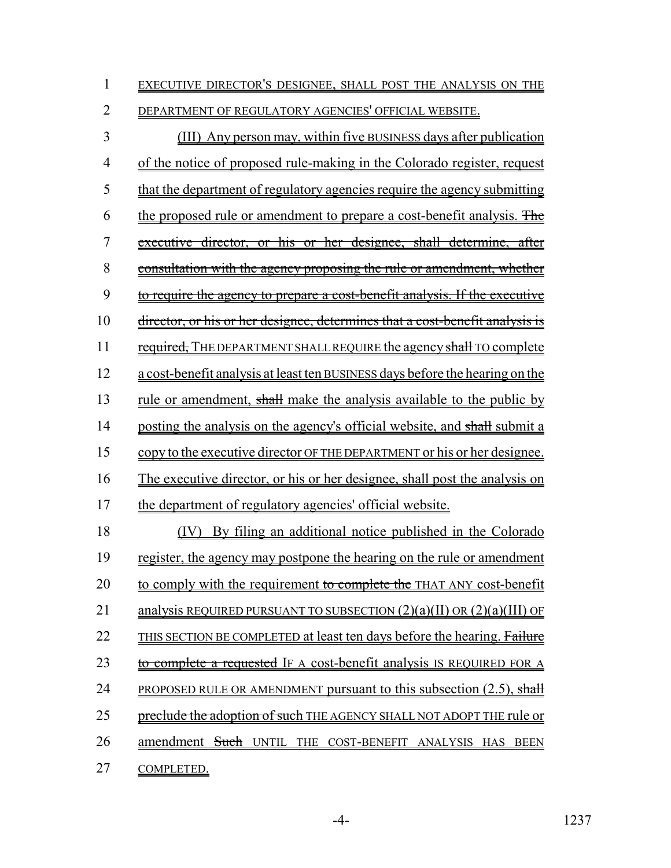| EXECUTIVE DIRECTOR'S DESIGNEE, SHALL POST THE ANALYSIS ON THE |
|---------------------------------------------------------------|
|---------------------------------------------------------------|

2 DEPARTMENT OF REGULATORY AGENCIES' OFFICIAL WEBSITE.

3 (III) Any person may, within five BUSINESS days after publication 4 of the notice of proposed rule-making in the Colorado register, request 5 that the department of regulatory agencies require the agency submitting 6 the proposed rule or amendment to prepare a cost-benefit analysis. The 7 executive director, or his or her designee, shall determine, after 8 consultation with the agency proposing the rule or amendment, whether 9 to require the agency to prepare a cost-benefit analysis. If the executive 10 director, or his or her designee, determines that a cost-benefit analysis is 11 required, THE DEPARTMENT SHALL REQUIRE the agency shall TO complete 12 a cost-benefit analysis at least ten BUSINESS days before the hearing on the 13 rule or amendment, shall make the analysis available to the public by 14 posting the analysis on the agency's official website, and shall submit a 15 copy to the executive director OF THE DEPARTMENT or his or her designee. 16 The executive director, or his or her designee, shall post the analysis on 17 the department of regulatory agencies' official website. 18 (IV) By filing an additional notice published in the Colorado 19 register, the agency may postpone the hearing on the rule or amendment 20 to comply with the requirement to complete the THAT ANY cost-benefit 21 analysis REQUIRED PURSUANT TO SUBSECTION  $(2)(a)(II)$  OR  $(2)(a)(III)$  OF 22 THIS SECTION BE COMPLETED at least ten days before the hearing. Failure 23 to complete a requested IF A cost-benefit analysis IS REQUIRED FOR A 24 PROPOSED RULE OR AMENDMENT pursuant to this subsection  $(2.5)$ , shall 25 preclude the adoption of such THE AGENCY SHALL NOT ADOPT THE rule or 26 amendment Such UNTIL THE COST-BENEFIT ANALYSIS HAS BEEN 27 COMPLETED.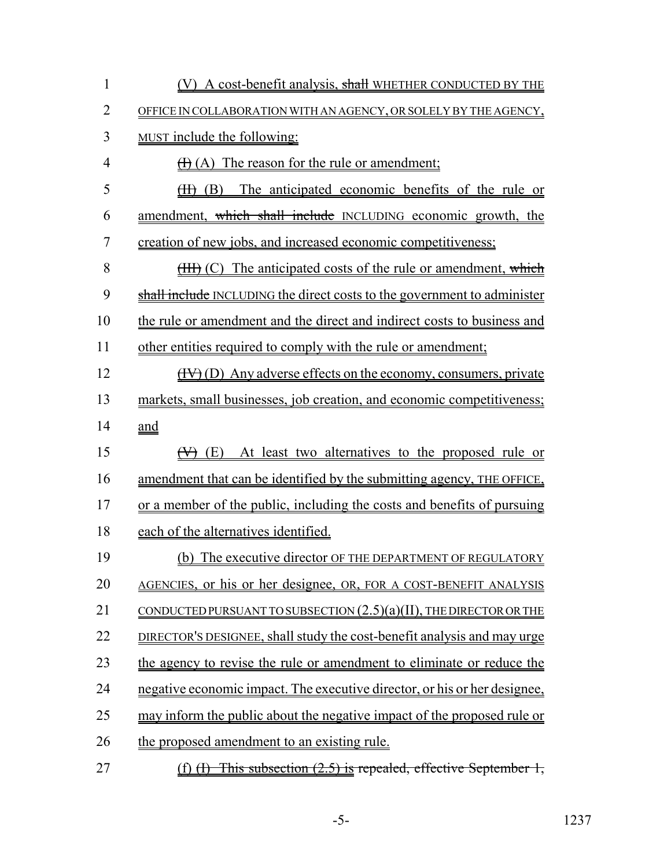| $\mathbf{1}$   | (V) A cost-benefit analysis, shall WHETHER CONDUCTED BY THE                    |
|----------------|--------------------------------------------------------------------------------|
| $\overline{2}$ | OFFICE IN COLLABORATION WITH AN AGENCY, OR SOLELY BY THE AGENCY,               |
| $\overline{3}$ | MUST include the following:                                                    |
| $\overline{4}$ | $\overline{H}(A)$ The reason for the rule or amendment;                        |
| 5              | The anticipated economic benefits of the rule or<br>$(H)$ (B)                  |
| 6              | amendment, which shall include INCLUDING economic growth, the                  |
| 7              | creation of new jobs, and increased economic competitiveness;                  |
| 8              | (HH) (C) The anticipated costs of the rule or amendment, which                 |
| 9              | shall include INCLUDING the direct costs to the government to administer       |
| 10             | the rule or amendment and the direct and indirect costs to business and        |
| 11             | other entities required to comply with the rule or amendment;                  |
| 12             | (HV) (D) Any adverse effects on the economy, consumers, private                |
| 13             | markets, small businesses, job creation, and economic competitiveness;         |
| 14             | <u>and</u>                                                                     |
| 15             | At least two alternatives to the proposed rule or<br>$(\forall)$ (E)           |
| 16             | amendment that can be identified by the submitting agency, THE OFFICE,         |
| 17             | or a member of the public, including the costs and benefits of pursuing        |
| 18             | each of the alternatives identified.                                           |
| 19             | (b) The executive director OF THE DEPARTMENT OF REGULATORY                     |
| 20             | AGENCIES, or his or her designee, OR, FOR A COST-BENEFIT ANALYSIS              |
| 21             | CONDUCTED PURSUANT TO SUBSECTION $(2.5)(a)(II)$ , THE DIRECTOR OR THE          |
| 22             | DIRECTOR'S DESIGNEE, shall study the cost-benefit analysis and may urge        |
| 23             | the agency to revise the rule or amendment to eliminate or reduce the          |
| 24             | negative economic impact. The executive director, or his or her designee,      |
| 25             | may inform the public about the negative impact of the proposed rule or        |
| 26             | the proposed amendment to an existing rule.                                    |
| 27             | This subsection (2.5) is repealed, effective September 1,<br>$(f)$ $\bigoplus$ |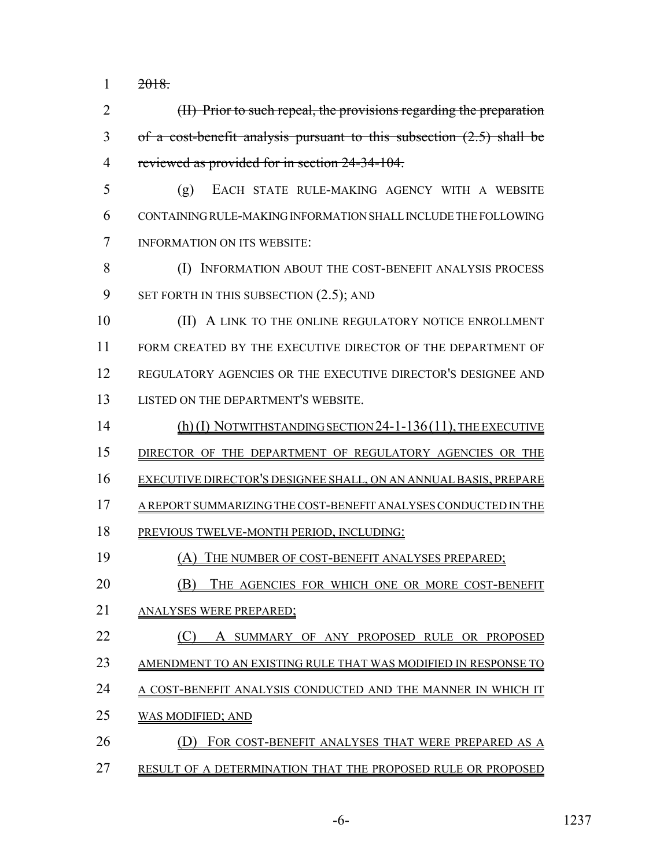$1 \t 2018.$ 

 (II) Prior to such repeal, the provisions regarding the preparation of a cost-benefit analysis pursuant to this subsection (2.5) shall be reviewed as provided for in section 24-34-104.

- (g) EACH STATE RULE-MAKING AGENCY WITH A WEBSITE CONTAINING RULE-MAKING INFORMATION SHALL INCLUDE THE FOLLOWING INFORMATION ON ITS WEBSITE:
- 8 (I) INFORMATION ABOUT THE COST-BENEFIT ANALYSIS PROCESS 9 SET FORTH IN THIS SUBSECTION  $(2.5)$ ; AND

**(II)** A LINK TO THE ONLINE REGULATORY NOTICE ENROLLMENT 11 FORM CREATED BY THE EXECUTIVE DIRECTOR OF THE DEPARTMENT OF REGULATORY AGENCIES OR THE EXECUTIVE DIRECTOR'S DESIGNEE AND LISTED ON THE DEPARTMENT'S WEBSITE.

- (h) (I) NOTWITHSTANDING SECTION 24-1-136(11), THE EXECUTIVE DIRECTOR OF THE DEPARTMENT OF REGULATORY AGENCIES OR THE EXECUTIVE DIRECTOR'S DESIGNEE SHALL, ON AN ANNUAL BASIS, PREPARE A REPORT SUMMARIZING THE COST-BENEFIT ANALYSES CONDUCTED IN THE PREVIOUS TWELVE-MONTH PERIOD, INCLUDING:
- (A) THE NUMBER OF COST-BENEFIT ANALYSES PREPARED;
- **(B)** THE AGENCIES FOR WHICH ONE OR MORE COST-BENEFIT
- ANALYSES WERE PREPARED;
- 22 (C) A SUMMARY OF ANY PROPOSED RULE OR PROPOSED
- 23 AMENDMENT TO AN EXISTING RULE THAT WAS MODIFIED IN RESPONSE TO

A COST-BENEFIT ANALYSIS CONDUCTED AND THE MANNER IN WHICH IT

- WAS MODIFIED; AND
- **(D) FOR COST-BENEFIT ANALYSES THAT WERE PREPARED AS A**
- RESULT OF A DETERMINATION THAT THE PROPOSED RULE OR PROPOSED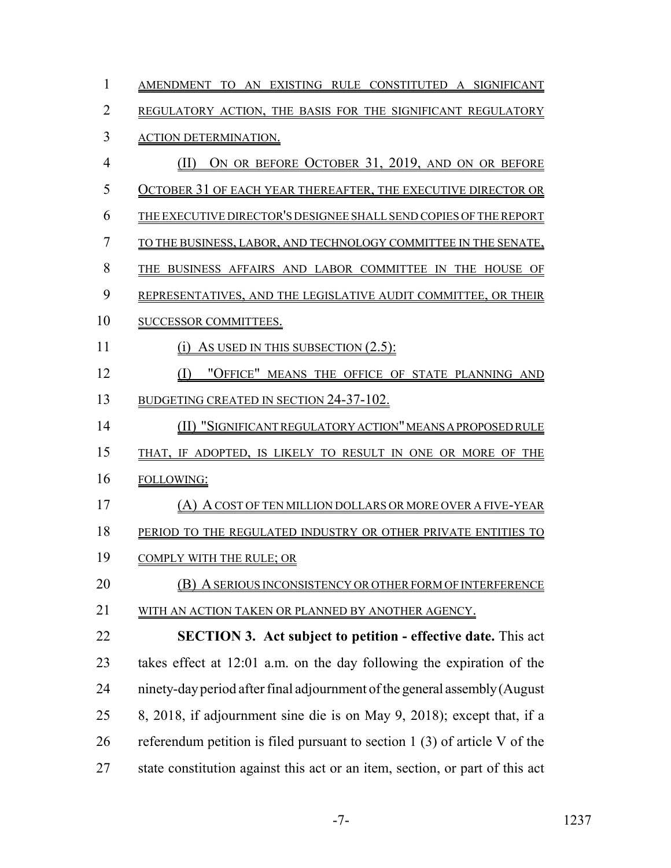| 1              | AMENDMENT TO AN EXISTING RULE CONSTITUTED A SIGNIFICANT                      |
|----------------|------------------------------------------------------------------------------|
| $\overline{2}$ | REGULATORY ACTION, THE BASIS FOR THE SIGNIFICANT REGULATORY                  |
| 3              | <b>ACTION DETERMINATION.</b>                                                 |
| $\overline{4}$ | ON OR BEFORE OCTOBER 31, 2019, AND ON OR BEFORE<br>(II)                      |
| 5              | OCTOBER 31 OF EACH YEAR THEREAFTER, THE EXECUTIVE DIRECTOR OR                |
| 6              | THE EXECUTIVE DIRECTOR'S DESIGNEE SHALL SEND COPIES OF THE REPORT            |
| 7              | TO THE BUSINESS, LABOR, AND TECHNOLOGY COMMITTEE IN THE SENATE,              |
| 8              | THE BUSINESS AFFAIRS AND LABOR COMMITTEE IN THE HOUSE OF                     |
| 9              | REPRESENTATIVES, AND THE LEGISLATIVE AUDIT COMMITTEE, OR THEIR               |
| 10             | <b>SUCCESSOR COMMITTEES.</b>                                                 |
| 11             | AS USED IN THIS SUBSECTION (2.5):<br>(1)                                     |
| 12             | "OFFICE" MEANS THE OFFICE OF STATE PLANNING AND<br>(I)                       |
| 13             | <b>BUDGETING CREATED IN SECTION 24-37-102.</b>                               |
| 14             | (II) "SIGNIFICANT REGULATORY ACTION" MEANS A PROPOSED RULE                   |
| 15             | THAT, IF ADOPTED, IS LIKELY TO RESULT IN ONE OR MORE OF THE                  |
| 16             | FOLLOWING:                                                                   |
| 17             | (A) A COST OF TEN MILLION DOLLARS OR MORE OVER A FIVE-YEAR                   |
| 18             | PERIOD TO THE REGULATED INDUSTRY OR OTHER PRIVATE ENTITIES TO                |
| 19             | COMPLY WITH THE RULE; OR                                                     |
| 20             | (B) A SERIOUS INCONSISTENCY OR OTHER FORM OF INTERFERENCE                    |
| 21             | WITH AN ACTION TAKEN OR PLANNED BY ANOTHER AGENCY.                           |
| 22             | <b>SECTION 3. Act subject to petition - effective date.</b> This act         |
| 23             | takes effect at 12:01 a.m. on the day following the expiration of the        |
| 24             | ninety-day period after final adjournment of the general assembly (August    |
| 25             | 8, 2018, if adjournment sine die is on May 9, 2018); except that, if a       |
| 26             | referendum petition is filed pursuant to section $1(3)$ of article V of the  |
| 27             | state constitution against this act or an item, section, or part of this act |